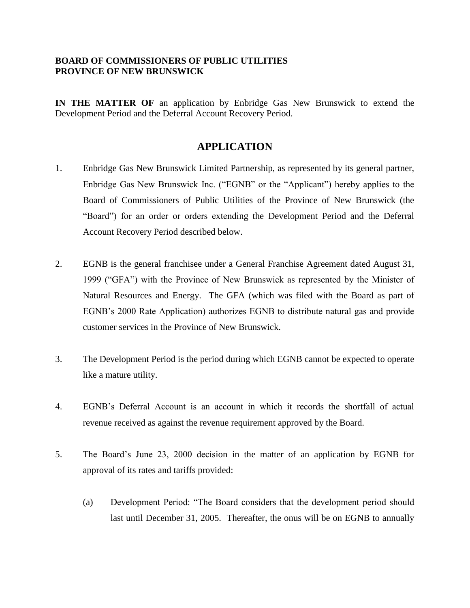## **BOARD OF COMMISSIONERS OF PUBLIC UTILITIES PROVINCE OF NEW BRUNSWICK**

**IN THE MATTER OF** an application by Enbridge Gas New Brunswick to extend the Development Period and the Deferral Account Recovery Period.

## **APPLICATION**

- 1. Enbridge Gas New Brunswick Limited Partnership, as represented by its general partner, Enbridge Gas New Brunswick Inc. ("EGNB" or the "Applicant") hereby applies to the Board of Commissioners of Public Utilities of the Province of New Brunswick (the "Board") for an order or orders extending the Development Period and the Deferral Account Recovery Period described below.
- 2. EGNB is the general franchisee under a General Franchise Agreement dated August 31, 1999 ("GFA") with the Province of New Brunswick as represented by the Minister of Natural Resources and Energy. The GFA (which was filed with the Board as part of EGNB's 2000 Rate Application) authorizes EGNB to distribute natural gas and provide customer services in the Province of New Brunswick.
- 3. The Development Period is the period during which EGNB cannot be expected to operate like a mature utility.
- 4. EGNB's Deferral Account is an account in which it records the shortfall of actual revenue received as against the revenue requirement approved by the Board.
- 5. The Board's June 23, 2000 decision in the matter of an application by EGNB for approval of its rates and tariffs provided:
	- (a) Development Period: "The Board considers that the development period should last until December 31, 2005. Thereafter, the onus will be on EGNB to annually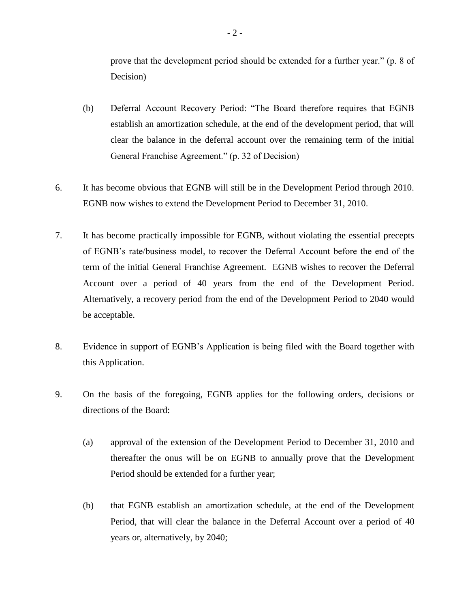prove that the development period should be extended for a further year." (p. 8 of Decision)

- (b) Deferral Account Recovery Period: "The Board therefore requires that EGNB establish an amortization schedule, at the end of the development period, that will clear the balance in the deferral account over the remaining term of the initial General Franchise Agreement." (p. 32 of Decision)
- 6. It has become obvious that EGNB will still be in the Development Period through 2010. EGNB now wishes to extend the Development Period to December 31, 2010.
- 7. It has become practically impossible for EGNB, without violating the essential precepts of EGNB's rate/business model, to recover the Deferral Account before the end of the term of the initial General Franchise Agreement. EGNB wishes to recover the Deferral Account over a period of 40 years from the end of the Development Period. Alternatively, a recovery period from the end of the Development Period to 2040 would be acceptable.
- 8. Evidence in support of EGNB's Application is being filed with the Board together with this Application.
- 9. On the basis of the foregoing, EGNB applies for the following orders, decisions or directions of the Board:
	- (a) approval of the extension of the Development Period to December 31, 2010 and thereafter the onus will be on EGNB to annually prove that the Development Period should be extended for a further year;
	- (b) that EGNB establish an amortization schedule, at the end of the Development Period, that will clear the balance in the Deferral Account over a period of 40 years or, alternatively, by 2040;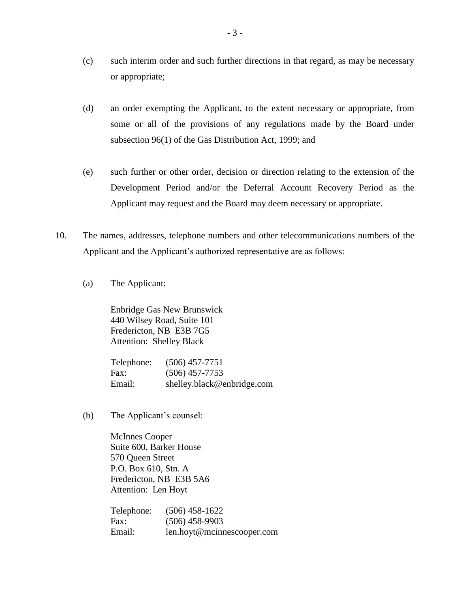- (c) such interim order and such further directions in that regard, as may be necessary or appropriate;
- (d) an order exempting the Applicant, to the extent necessary or appropriate, from some or all of the provisions of any regulations made by the Board under subsection 96(1) of the Gas Distribution Act, 1999; and
- (e) such further or other order, decision or direction relating to the extension of the Development Period and/or the Deferral Account Recovery Period as the Applicant may request and the Board may deem necessary or appropriate.
- 10. The names, addresses, telephone numbers and other telecommunications numbers of the Applicant and the Applicant's authorized representative are as follows:
	- (a) The Applicant:

Enbridge Gas New Brunswick 440 Wilsey Road, Suite 101 Fredericton, NB E3B 7G5 Attention: Shelley Black

| Telephone: | $(506)$ 457-7751           |
|------------|----------------------------|
| Fax:       | $(506)$ 457-7753           |
| Email:     | shelley.black@enbridge.com |

(b) The Applicant's counsel:

McInnes Cooper Suite 600, Barker House 570 Queen Street P.O. Box 610, Stn. A Fredericton, NB E3B 5A6 Attention: Len Hoyt

Telephone: (506) 458-1622 Fax: (506) 458-9903 Email: len.hoyt@mcinnescooper.com